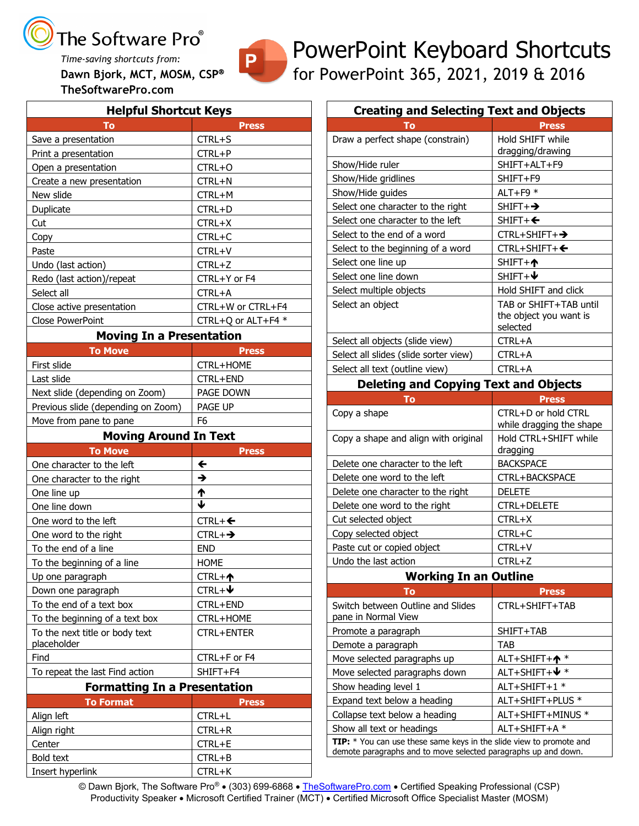### The Software Pro<sup>®</sup>

*Time-saving shortcuts from:* **Dawn Bjork, MCT, MOSM, CSP TheSoftwarePro.com**

P

### PowerPoint Keyboard Shortcuts for PowerPoint 365, 2021, 2019 & 2016

| <b>Helpful Shortcut Keys</b>         |                          |  |
|--------------------------------------|--------------------------|--|
| To                                   | <b>Press</b>             |  |
| Save a presentation                  | CTRL+S                   |  |
| Print a presentation                 | CTRL+P                   |  |
| Open a presentation                  | CTRL+O                   |  |
| Create a new presentation            | CTRL+N                   |  |
| New slide                            | CTRL+M                   |  |
| Duplicate                            | CTRL+D                   |  |
| Cut                                  | CTRL+X                   |  |
| Copy                                 | CTRL+C                   |  |
| Paste                                | CTRL+V                   |  |
| Undo (last action)                   | CTRL+Z                   |  |
| Redo (last action)/repeat            | CTRL+Y or F4             |  |
| Select all                           | CTRL+A                   |  |
| Close active presentation            | CTRL+W or CTRL+F4        |  |
| Close PowerPoint                     | CTRL+Q or ALT+F4 *       |  |
| <b>Moving In a Presentation</b>      |                          |  |
| <b>To Move</b>                       | <b>Press</b>             |  |
| First slide                          | CTRL+HOME                |  |
| Last slide                           | CTRL+END                 |  |
| Next slide (depending on Zoom)       | PAGE DOWN                |  |
| Previous slide (depending on Zoom)   | PAGE UP                  |  |
| Move from pane to pane               | F6                       |  |
| <b>Moving Around In Text</b>         |                          |  |
|                                      |                          |  |
| <b>To Move</b>                       | <b>Press</b>             |  |
| One character to the left            | $\leftarrow$             |  |
| One character to the right           | →                        |  |
| One line up                          |                          |  |
| One line down                        | $\frac{1}{4}$            |  |
| One word to the left                 | $CTRL + \Leftrightarrow$ |  |
| One word to the right                | $CTRL + \rightarrow$     |  |
| To the end of a line                 | <b>END</b>               |  |
| To the beginning of a line           | <b>HOME</b>              |  |
| Up one paragraph                     | $CTRL + \uparrow$        |  |
| Down one paragraph                   | $CTRL +$ $\blacklozenge$ |  |
| To the end of a text box             | CTRL+END                 |  |
| To the beginning of a text box       | CTRL+HOME                |  |
| To the next title or body text       | <b>CTRL+ENTER</b>        |  |
| placeholder                          |                          |  |
| Find                                 | CTRL+F or F4             |  |
| To repeat the last Find action       | SHIFT+F4                 |  |
| <b>Formatting In a Presentation</b>  |                          |  |
| <b>To Format</b>                     | <b>Press</b>             |  |
| Align left                           | CTRL+L                   |  |
| Align right                          | CTRL+R                   |  |
| Center                               | CTRL+E                   |  |
| <b>Bold text</b><br>Insert hyperlink | CTRL+B<br>CTRL+K         |  |

| <b>Creating and Selecting Text and Objects</b> |                                   |  |
|------------------------------------------------|-----------------------------------|--|
| Тο                                             | Press                             |  |
| Draw a perfect shape (constrain)               | Hold SHIFT while                  |  |
|                                                | dragging/drawing                  |  |
| Show/Hide ruler                                | SHIFT+ALT+F9                      |  |
| Show/Hide gridlines                            | SHIFT+F9                          |  |
| Show/Hide guides                               | ALT+F9 $*$                        |  |
| Select one character to the right              | $SHIFT + \rightarrow$             |  |
| Select one character to the left               | $SHIFT+\Leftrightarrow$           |  |
| Select to the end of a word                    | $CTRL+SHIFT+\rightarrow$          |  |
| Select to the beginning of a word              | $CTRL+SHIFT+\Leftrightarrow$      |  |
| Select one line up                             | $SHIFT + \spadesuit$              |  |
| Select one line down                           | $SHIFT+V$                         |  |
| Select multiple objects                        | Hold SHIFT and click              |  |
| Select an object                               | TAB or SHIFT+TAB until            |  |
|                                                | the object you want is            |  |
|                                                | selected                          |  |
| Select all objects (slide view)                | CTRL+A                            |  |
| Select all slides (slide sorter view)          | CTRL+A                            |  |
| Select all text (outline view)                 | CTRL+A                            |  |
| <b>Deleting and Copying Text and Objects</b>   |                                   |  |
| To                                             | <b>Press</b>                      |  |
| Copy a shape                                   | CTRL+D or hold CTRL               |  |
|                                                | while dragging the shape          |  |
| Copy a shape and align with original           | Hold CTRL+SHIFT while<br>dragging |  |
| Delete one character to the left               | <b>BACKSPACE</b>                  |  |
| Delete one word to the left                    | CTRL+BACKSPACE                    |  |
| Delete one character to the right              | <b>DELETE</b>                     |  |
| Delete one word to the right                   | <b>CTRL+DELETE</b>                |  |
| Cut selected object                            | CTRL+X                            |  |
| Copy selected object                           | CTRL+C                            |  |
| Paste cut or copied object                     | CTRL+V                            |  |
| Undo the last action                           | $CTRL+Z$                          |  |

#### **Working In an Outline**

| $\mathbf{T}\mathbf{O}$                                                                                                                | <b>Press</b>                 |  |
|---------------------------------------------------------------------------------------------------------------------------------------|------------------------------|--|
| Switch between Outline and Slides<br>pane in Normal View                                                                              | CTRL+SHIFT+TAB               |  |
| Promote a paragraph                                                                                                                   | SHIFT+TAB                    |  |
| Demote a paragraph                                                                                                                    | <b>TAB</b>                   |  |
| Move selected paragraphs up                                                                                                           | $ALT + SHIFT + \spadesuit$ * |  |
| Move selected paragraphs down                                                                                                         | ALT+SHIFT+↓ *                |  |
| Show heading level 1                                                                                                                  | ALT+SHIFT+1 *                |  |
| Expand text below a heading                                                                                                           | ALT+SHIFT+PLUS *             |  |
| Collapse text below a heading                                                                                                         | ALT+SHIFT+MINUS *            |  |
| Show all text or headings                                                                                                             | ALT+SHIFT+A *                |  |
| TIP: * You can use these same keys in the slide view to promote and<br>demote paragraphs and to move selected paragraphs up and down. |                              |  |

© Dawn Bjork, The Software Pro® • (303) 699-6868 • [TheSoftwarePro.com](http://www.thesoftwarepro.com/) • Certified Speaking Professional (CSP) Productivity Speaker • Microsoft Certified Trainer (MCT) • Certified Microsoft Office Specialist Master (MOSM)